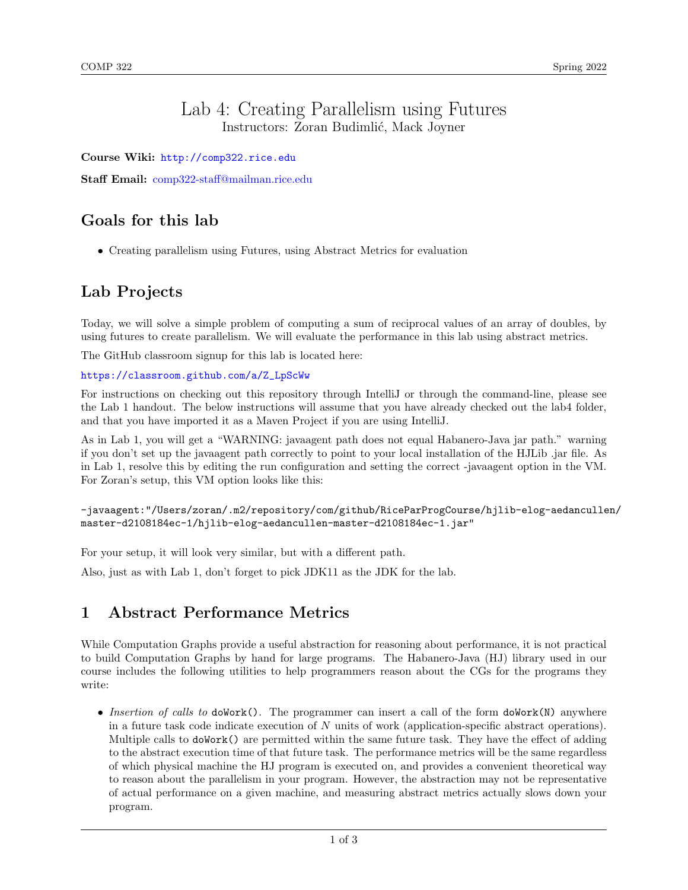### Lab 4: Creating Parallelism using Futures Instructors: Zoran Budimlić, Mack Joyner

Course Wiki: <http://comp322.rice.edu>

Staff Email: [comp322-staff@mailman.rice.edu](mailto:comp322-staff@mailman.rice.edu)

## Goals for this lab

• Creating parallelism using Futures, using Abstract Metrics for evaluation

# Lab Projects

Today, we will solve a simple problem of computing a sum of reciprocal values of an array of doubles, by using futures to create parallelism. We will evaluate the performance in this lab using abstract metrics.

The GitHub classroom signup for this lab is located here:

#### [https://classroom.github.com/a/Z\\_LpScWw](https://classroom.github.com/a/Z_LpScWw)

For instructions on checking out this repository through IntelliJ or through the command-line, please see the Lab 1 handout. The below instructions will assume that you have already checked out the lab4 folder, and that you have imported it as a Maven Project if you are using IntelliJ.

As in Lab 1, you will get a "WARNING: javaagent path does not equal Habanero-Java jar path." warning if you don't set up the javaagent path correctly to point to your local installation of the HJLib .jar file. As in Lab 1, resolve this by editing the run configuration and setting the correct -javaagent option in the VM. For Zoran's setup, this VM option looks like this:

```
-javaagent:"/Users/zoran/.m2/repository/com/github/RiceParProgCourse/hjlib-elog-aedancullen/
master-d2108184ec-1/hjlib-elog-aedancullen-master-d2108184ec-1.jar"
```
For your setup, it will look very similar, but with a different path.

Also, just as with Lab 1, don't forget to pick JDK11 as the JDK for the lab.

### 1 Abstract Performance Metrics

While Computation Graphs provide a useful abstraction for reasoning about performance, it is not practical to build Computation Graphs by hand for large programs. The Habanero-Java (HJ) library used in our course includes the following utilities to help programmers reason about the CGs for the programs they write:

• Insertion of calls to doWork(). The programmer can insert a call of the form doWork(N) anywhere in a future task code indicate execution of  $N$  units of work (application-specific abstract operations). Multiple calls to **doWork()** are permitted within the same future task. They have the effect of adding to the abstract execution time of that future task. The performance metrics will be the same regardless of which physical machine the HJ program is executed on, and provides a convenient theoretical way to reason about the parallelism in your program. However, the abstraction may not be representative of actual performance on a given machine, and measuring abstract metrics actually slows down your program.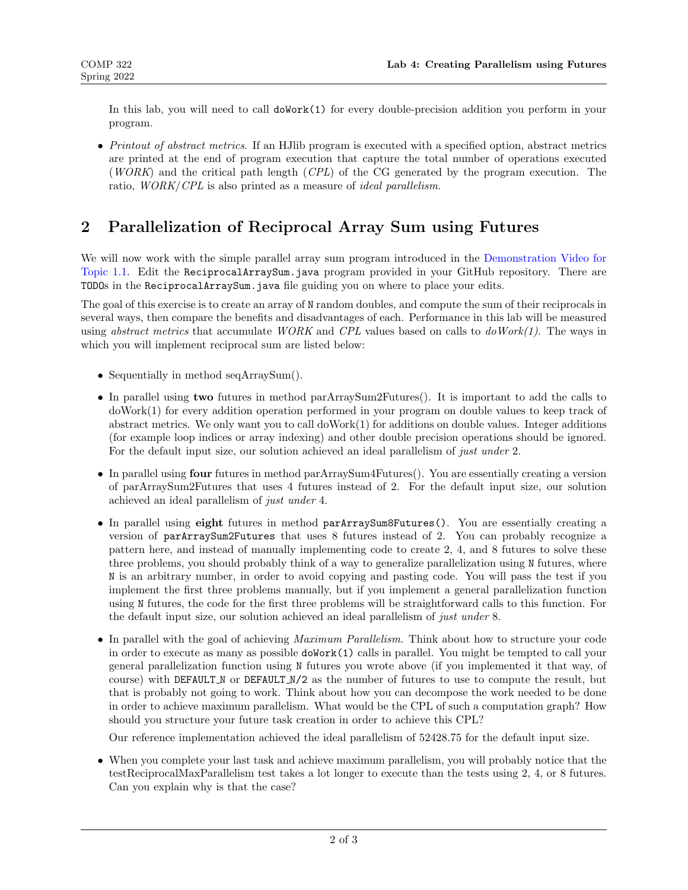In this lab, you will need to call doWork(1) for every double-precision addition you perform in your program.

• Printout of abstract metrics. If an HJlib program is executed with a specified option, abstract metrics are printed at the end of program execution that capture the total number of operations executed (WORK) and the critical path length (CPL) of the CG generated by the program execution. The ratio, WORK/CPL is also printed as a measure of ideal parallelism.

## 2 Parallelization of Reciprocal Array Sum using Futures

We will now work with the simple parallel array sum program introduced in the [Demonstration Video for](https://www.youtube.com/watch?v=pANGm8KqOG0&feature=youtu.be) [Topic 1.1.](https://www.youtube.com/watch?v=pANGm8KqOG0&feature=youtu.be) Edit the ReciprocalArraySum.java program provided in your GitHub repository. There are TODOs in the ReciprocalArraySum.java file guiding you on where to place your edits.

The goal of this exercise is to create an array of N random doubles, and compute the sum of their reciprocals in several ways, then compare the benefits and disadvantages of each. Performance in this lab will be measured using *abstract metrics* that accumulate *WORK* and *CPL* values based on calls to  $doWork(1)$ . The ways in which you will implement reciprocal sum are listed below:

- Sequentially in method seqArraySum().
- In parallel using two futures in method parArraySum2Futures(). It is important to add the calls to doWork(1) for every addition operation performed in your program on double values to keep track of abstract metrics. We only want you to call doWork(1) for additions on double values. Integer additions (for example loop indices or array indexing) and other double precision operations should be ignored. For the default input size, our solution achieved an ideal parallelism of just under 2.
- In parallel using four futures in method parArraySum4Futures(). You are essentially creating a version of parArraySum2Futures that uses 4 futures instead of 2. For the default input size, our solution achieved an ideal parallelism of just under 4.
- In parallel using eight futures in method parArraySum8Futures(). You are essentially creating a version of parArraySum2Futures that uses 8 futures instead of 2. You can probably recognize a pattern here, and instead of manually implementing code to create 2, 4, and 8 futures to solve these three problems, you should probably think of a way to generalize parallelization using N futures, where N is an arbitrary number, in order to avoid copying and pasting code. You will pass the test if you implement the first three problems manually, but if you implement a general parallelization function using N futures, the code for the first three problems will be straightforward calls to this function. For the default input size, our solution achieved an ideal parallelism of just under 8.
- In parallel with the goal of achieving *Maximum Parallelism*. Think about how to structure your code in order to execute as many as possible doWork(1) calls in parallel. You might be tempted to call your general parallelization function using N futures you wrote above (if you implemented it that way, of course) with DEFAULT N or DEFAULT N/2 as the number of futures to use to compute the result, but that is probably not going to work. Think about how you can decompose the work needed to be done in order to achieve maximum parallelism. What would be the CPL of such a computation graph? How should you structure your future task creation in order to achieve this CPL?

Our reference implementation achieved the ideal parallelism of 52428.75 for the default input size.

• When you complete your last task and achieve maximum parallelism, you will probably notice that the testReciprocalMaxParallelism test takes a lot longer to execute than the tests using 2, 4, or 8 futures. Can you explain why is that the case?